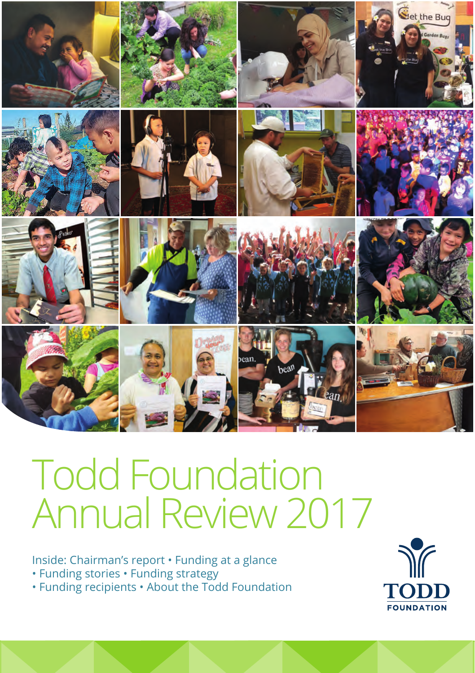

# Todd Foundation Annual Review 2017

Inside: Chairman's report • Funding at a glance • Funding stories • Funding strategy

• Funding recipients • About the Todd Foundation

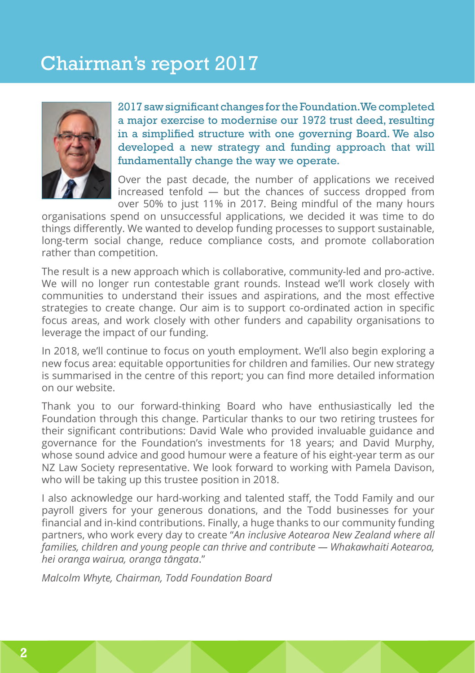### Chairman's report 2017



2017 saw significant changes for the Foundation. We completed a major exercise to modernise our 1972 trust deed, resulting in a simplified structure with one governing Board. We also developed a new strategy and funding approach that will fundamentally change the way we operate.

Over the past decade, the number of applications we received increased tenfold — but the chances of success dropped from over 50% to just 11% in 2017. Being mindful of the many hours

organisations spend on unsuccessful applications, we decided it was time to do things differently. We wanted to develop funding processes to support sustainable, long-term social change, reduce compliance costs, and promote collaboration rather than competition.

The result is a new approach which is collaborative, community-led and pro-active. We will no longer run contestable grant rounds. Instead we'll work closely with communities to understand their issues and aspirations, and the most effective strategies to create change. Our aim is to support co-ordinated action in specific focus areas, and work closely with other funders and capability organisations to leverage the impact of our funding.

In 2018, we'll continue to focus on youth employment. We'll also begin exploring a new focus area: equitable opportunities for children and families. Our new strategy is summarised in the centre of this report; you can find more detailed information on our website.

Thank you to our forward-thinking Board who have enthusiastically led the Foundation through this change. Particular thanks to our two retiring trustees for their significant contributions: David Wale who provided invaluable guidance and governance for the Foundation's investments for 18 years; and David Murphy, whose sound advice and good humour were a feature of his eight-year term as our NZ Law Society representative. We look forward to working with Pamela Davison, who will be taking up this trustee position in 2018.

I also acknowledge our hard-working and talented staff, the Todd Family and our payroll givers for your generous donations, and the Todd businesses for your financial and in-kind contributions. Finally, a huge thanks to our community funding partners, who work every day to create "*An inclusive Aotearoa New Zealand where all families, children and young people can thrive and contribute — Whakawhaiti Aotearoa, hei oranga wairua, oranga tāngata*."

*Malcolm Whyte, Chairman, Todd Foundation Board*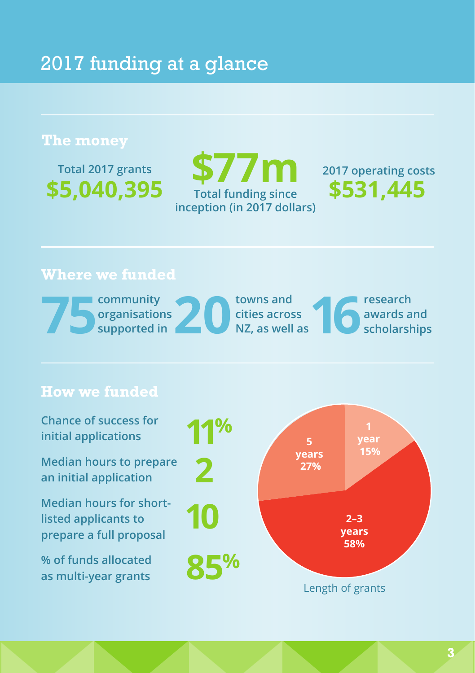### 2017 funding at a glance

#### **The money**

**Total 2017 grants \$5,040,395**

### **Total funding since \$531,445 inception (in 2017 dollars) \$77m**

**2017 operating costs**

### **Where we funded**

|  | community     | towns and      |  | research     |
|--|---------------|----------------|--|--------------|
|  | organisations | cities across  |  | awards and   |
|  | supported in  | NZ, as well as |  | scholarships |

#### **How we funded**

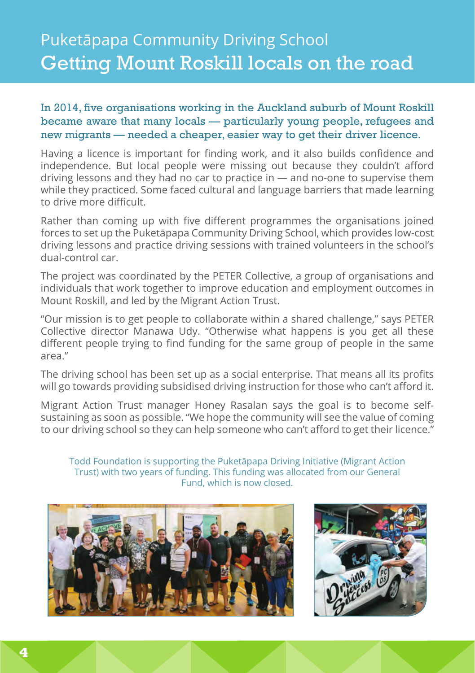### Puketāpapa Community Driving School Getting Mount Roskill locals on the road

#### In 2014, five organisations working in the Auckland suburb of Mount Roskill became aware that many locals — particularly young people, refugees and new migrants — needed a cheaper, easier way to get their driver licence.

Having a licence is important for finding work, and it also builds confidence and independence. But local people were missing out because they couldn't afford driving lessons and they had no car to practice in — and no-one to supervise them while they practiced. Some faced cultural and language barriers that made learning to drive more difficult.

Rather than coming up with five different programmes the organisations joined forces to set up the Puketāpapa Community Driving School, which provides low-cost driving lessons and practice driving sessions with trained volunteers in the school's dual-control car.

The project was coordinated by the PETER Collective, a group of organisations and individuals that work together to improve education and employment outcomes in Mount Roskill, and led by the Migrant Action Trust.

"Our mission is to get people to collaborate within a shared challenge," says PETER Collective director Manawa Udy. "Otherwise what happens is you get all these different people trying to find funding for the same group of people in the same area."

The driving school has been set up as a social enterprise. That means all its profits will go towards providing subsidised driving instruction for those who can't afford it.

Migrant Action Trust manager Honey Rasalan says the goal is to become selfsustaining as soon as possible. "We hope the community will see the value of coming to our driving school so they can help someone who can't afford to get their licence."

Todd Foundation is supporting the Puketāpapa Driving Initiative (Migrant Action Trust) with two years of funding. This funding was allocated from our General Fund, which is now closed.



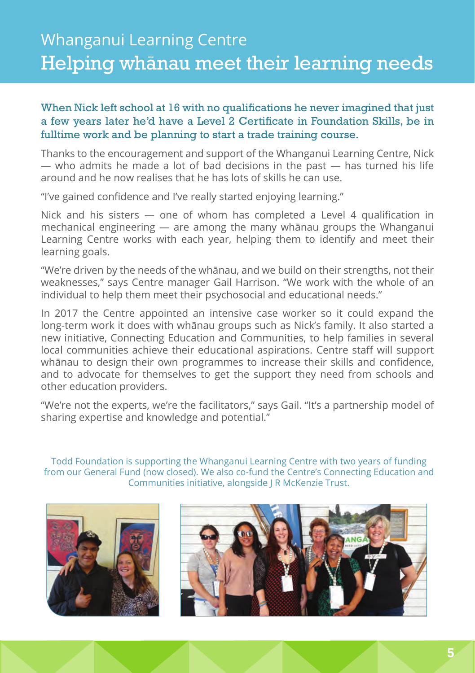### Whanganui Learning Centre Helping whanau meet their learning needs

#### When Nick left school at 16 with no qualifications he never imagined that just a few years later he'd have a Level 2 Certificate in Foundation Skills, be in fulltime work and be planning to start a trade training course.

Thanks to the encouragement and support of the Whanganui Learning Centre, Nick — who admits he made a lot of bad decisions in the past — has turned his life around and he now realises that he has lots of skills he can use.

"I've gained confidence and I've really started enjoying learning."

Nick and his sisters — one of whom has completed a Level 4 qualification in mechanical engineering — are among the many whānau groups the Whanganui Learning Centre works with each year, helping them to identify and meet their learning goals.

"We're driven by the needs of the whānau, and we build on their strengths, not their weaknesses," says Centre manager Gail Harrison. "We work with the whole of an individual to help them meet their psychosocial and educational needs."

In 2017 the Centre appointed an intensive case worker so it could expand the long-term work it does with whānau groups such as Nick's family. It also started a new initiative, Connecting Education and Communities, to help families in several local communities achieve their educational aspirations. Centre staff will support whānau to design their own programmes to increase their skills and confidence, and to advocate for themselves to get the support they need from schools and other education providers.

"We're not the experts, we're the facilitators," says Gail. "It's a partnership model of sharing expertise and knowledge and potential."

Todd Foundation is supporting the Whanganui Learning Centre with two years of funding from our General Fund (now closed). We also co-fund the Centre's Connecting Education and Communities initiative, alongside J R McKenzie Trust.



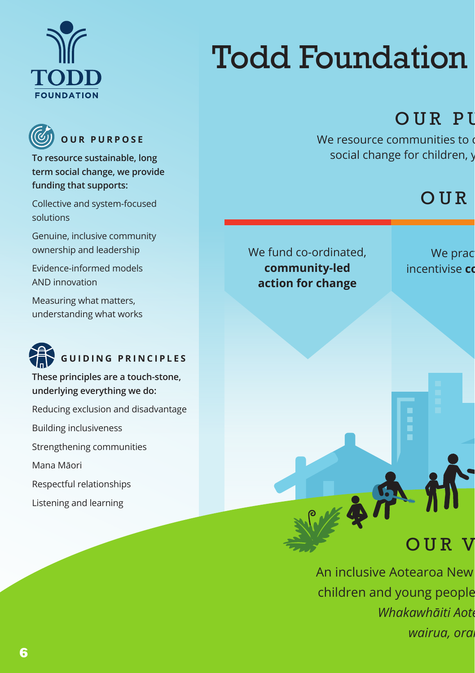



**To resource sustainable, long term social change, we provide funding that supports:**

Collective and system-focused solutions

Genuine, inclusive community ownership and leadership

Evidence-informed models AND innovation

Measuring what matters, understanding what works



**These principles are a touch-stone, underlying everything we do:** 

Reducing exclusion and disadvantage Building inclusiveness Strengthening communities

Mana Māori

Respectful relationships

Listening and learning

## **Todd Foundation**

### OUR PI

We resource communities to social change for children, you

### $OUR$

We fund co-ordinated, **community-led action for change**

We prac incentivise **co** 

### OUR V

An inclusive Aotearoa New children and young people *Whakawhāiti Aote wairua, ora*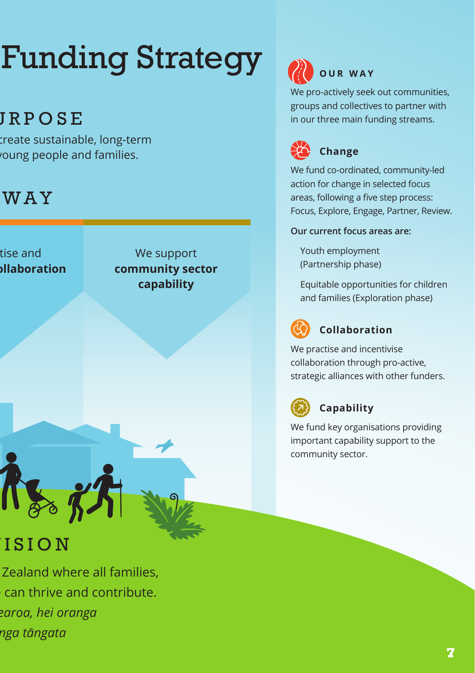# **Funding Strategy 20 OUR WAY**

## **JRPOSE**

reate sustainable, long-term oung people and families.

### **WAY**

tise and **indumination** 

We support **community sector capability**

### ISION

Zealand where all families, can thrive and contribute. *Whakawhāiti Aotearoa, hei oranga wairua, oranga tāngata*

We pro-actively seek out communities, groups and collectives to partner with in our three main funding streams.



We fund co-ordinated, community-led action for change in selected focus areas, following a five step process: Focus, Explore, Engage, Partner, Review.

**Our current focus areas are:**

Youth employment (Partnership phase)

Equitable opportunities for children and families (Exploration phase)



#### **Collaboration**

We practise and incentivise collaboration through pro-active, strategic alliances with other funders.



### **Capability**

We fund key organisations providing important capability support to the community sector.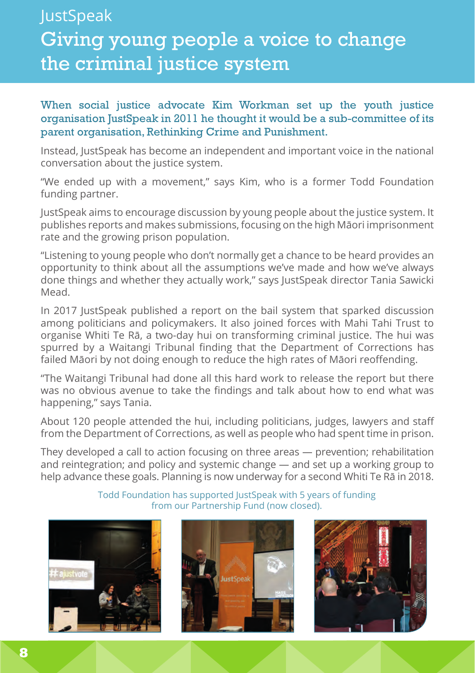### **JustSpeak** Giving young people a voice to change the criminal justice system

#### When social justice advocate Kim Workman set up the youth justice organisation JustSpeak in 2011 he thought it would be a sub-committee of its parent organisation, Rethinking Crime and Punishment.

Instead, JustSpeak has become an independent and important voice in the national conversation about the justice system.

"We ended up with a movement," says Kim, who is a former Todd Foundation funding partner.

JustSpeak aims to encourage discussion by young people about the justice system. It publishes reports and makes submissions, focusing on the high Māori imprisonment rate and the growing prison population.

"Listening to young people who don't normally get a chance to be heard provides an opportunity to think about all the assumptions we've made and how we've always done things and whether they actually work," says JustSpeak director Tania Sawicki Mead.

In 2017 JustSpeak published a report on the bail system that sparked discussion among politicians and policymakers. It also joined forces with Mahi Tahi Trust to organise Whiti Te Rā, a two-day hui on transforming criminal justice. The hui was spurred by a Waitangi Tribunal finding that the Department of Corrections has failed Māori by not doing enough to reduce the high rates of Māori reoffending.

"The Waitangi Tribunal had done all this hard work to release the report but there was no obvious avenue to take the findings and talk about how to end what was happening," says Tania.

About 120 people attended the hui, including politicians, judges, lawyers and staff from the Department of Corrections, as well as people who had spent time in prison.

They developed a call to action focusing on three areas — prevention; rehabilitation and reintegration; and policy and systemic change — and set up a working group to help advance these goals. Planning is now underway for a second Whiti Te Rā in 2018.

> Todd Foundation has supported JustSpeak with 5 years of funding from our Partnership Fund (now closed).





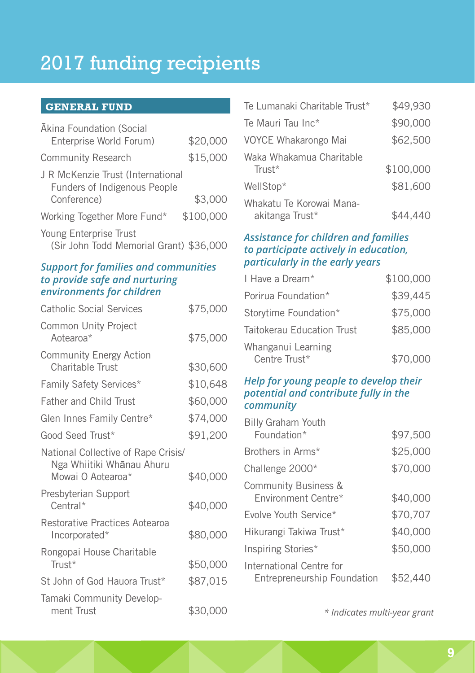### 2017 funding recipients

#### **GENERAL FUND**

| Akina Foundation (Social<br>Enterprise World Forum)               | \$20,000  |
|-------------------------------------------------------------------|-----------|
| <b>Community Research</b>                                         | \$15,000  |
| J R McKenzie Trust (International<br>Funders of Indigenous People |           |
| Conference)                                                       | \$3,000   |
| Working Together More Fund*                                       | \$100,000 |
| Young Enterprise Trust<br>(Sir John Todd Memorial Grant) \$36,000 |           |

#### *Support for families and communities to provide safe and nurturing environments for children*

| <b>Catholic Social Services</b>                                                       | \$75,000 |
|---------------------------------------------------------------------------------------|----------|
| Common Unity Project<br>Aotearoa*                                                     | \$75,000 |
| <b>Community Energy Action</b><br>Charitable Trust                                    | \$30,600 |
| <b>Family Safety Services*</b>                                                        | \$10,648 |
| <b>Father and Child Trust</b>                                                         | \$60,000 |
| Glen Innes Family Centre*                                                             | \$74,000 |
| Good Seed Trust*                                                                      | \$91,200 |
| National Collective of Rape Crisis/<br>Nga Whiitiki Whānau Ahuru<br>Mowai O Aotearoa* | \$40,000 |
| Presbyterian Support<br>Central*                                                      | \$40,000 |
| Restorative Practices Aotearoa<br>Incorporated*                                       | \$80,000 |
| Rongopai House Charitable<br>Trust*                                                   | \$50,000 |
| St John of God Hauora Trust*                                                          | \$87,015 |
| Tamaki Community Develop-<br>ment Trust                                               | \$30,000 |

| Te Lumanaki Charitable Trust*               | \$49,930  |
|---------------------------------------------|-----------|
| Te Mauri Tau Inc*                           | \$90,000  |
| VOYCE Whakarongo Mai                        | \$62,500  |
| Waka Whakamua Charitable<br>Trust*          | \$100,000 |
| WellStop*                                   | \$81,600  |
| Whakatu Te Korowai Mana-<br>akitanga Trust* | \$44,440  |

#### *Assistance for children and families to participate actively in education, particularly in the early years*

| I Have a Dream*                     | \$100,000 |
|-------------------------------------|-----------|
| Porirua Foundation*                 | \$39,445  |
| Storytime Foundation*               | \$75,000  |
| Taitokerau Education Trust          | \$85,000  |
| Whanganui Learning<br>Centre Trust* | \$70,000  |

#### *Help for young people to develop their potential and contribute fully in the community*

| <b>Billy Graham Youth</b>   |          |
|-----------------------------|----------|
| Foundation*                 | \$97,500 |
| Brothers in Arms*           | \$25,000 |
| Challenge 2000*             | \$70,000 |
| Community Business &        |          |
| Environment Centre*         | \$40,000 |
| Fyolve Youth Service*       | \$70.707 |
| Hikurangi Takiwa Trust*     | \$40,000 |
| Inspiring Stories*          | \$50,000 |
| International Centre for    |          |
| Entrepreneurship Foundation | \$52,440 |

*\* Indicates multi-year grant*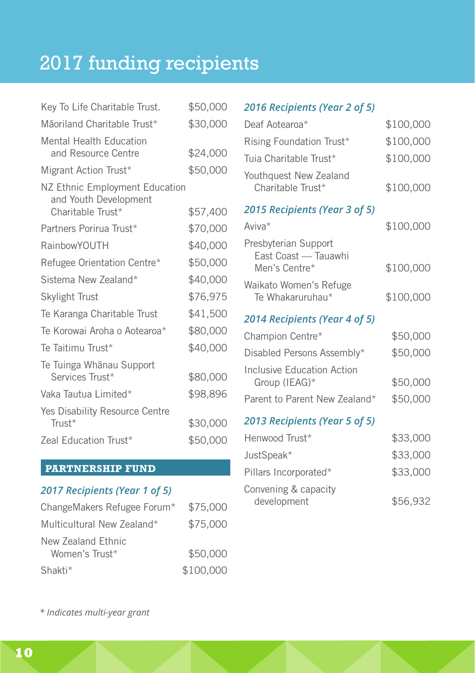## 2017 funding recipients

| Key To Life Charitable Trust.                                                | \$50,000 |
|------------------------------------------------------------------------------|----------|
| Māoriland Charitable Trust*                                                  | \$30,000 |
| <b>Mental Health Education</b><br>and Resource Centre                        | \$24,000 |
| Migrant Action Trust*                                                        | \$50,000 |
| NZ Ethnic Employment Education<br>and Youth Development<br>Charitable Trust* | \$57,400 |
| Partners Porirua Trust*                                                      | \$70,000 |
| RainbowYOUTH                                                                 | \$40,000 |
| Refugee Orientation Centre*                                                  | \$50,000 |
| Sistema New Zealand*                                                         | \$40,000 |
| Skylight Trust                                                               | \$76,975 |
| Te Karanga Charitable Trust                                                  | \$41,500 |
| Te Korowai Aroha o Aotearoa*                                                 | \$80,000 |
| Te Taitimu Trust*                                                            | \$40,000 |
| Te Tuinga Whānau Support<br>Services Trust*                                  | \$80,000 |
| Vaka Tautua Limited*                                                         | \$98,896 |
| Yes Disability Resource Centre<br>Trust*                                     | \$30,000 |
| Zeal Education Trust*                                                        | \$50,000 |

#### **PARTNERSHIP FUND**

#### *2017 Recipients (Year 1 of 5)*

| ChangeMakers Refugee Forum*          | \$75,000  |
|--------------------------------------|-----------|
| Multicultural New Zealand*           | \$75,000  |
| New Zealand Ethnic<br>Women's Trust* | \$50,000  |
| Shakti*                              | \$100,000 |

#### *2016 Recipients (Year 2 of 5)*

| Deaf Aotearoa*                                                | \$100,000 |
|---------------------------------------------------------------|-----------|
| Rising Foundation Trust*                                      | \$100,000 |
| Tuia Charitable Trust*                                        | \$100,000 |
| Youthquest New Zealand<br>Charitable Trust*                   | \$100,000 |
| 2015 Recipients (Year 3 of 5)                                 |           |
| Aviva*                                                        | \$100,000 |
| Presbyterian Support<br>East Coast - Tauawhi<br>Men's Centre* | \$100,000 |
| Waikato Women's Refuge<br>Te Whakaruruhau*                    | \$100,000 |
| 2014 Recipients (Year 4 of 5)                                 |           |
| Champion Centre*                                              | \$50,000  |
|                                                               |           |
| Disabled Persons Assembly*                                    | \$50,000  |
| Inclusive Education Action<br>Group (IEAG)*                   | \$50,000  |
| Parent to Parent New Zealand*                                 | \$50,000  |
| 2013 Recipients (Year 5 of 5)                                 |           |
| Henwood Trust*                                                | \$33,000  |
| JustSpeak*                                                    | \$33,000  |
| Pillars Incorporated*                                         | \$33,000  |

development \$56,932

*\* Indicates multi-year grant*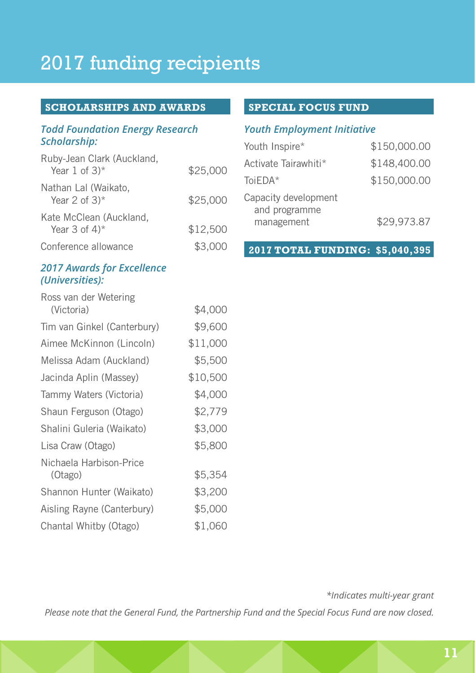### 2017 funding recipients

#### **SCHOLARSHIPS AND AWARDS**

#### *Todd Foundation Energy Research Scholarship:*

| Ruby-Jean Clark (Auckland,<br>Year 1 of $3$ <sup>*</sup> | \$25,000 |
|----------------------------------------------------------|----------|
| Nathan Lal (Waikato,<br>Year 2 of $3$ <sup>*</sup>       | \$25,000 |
| Kate McClean (Auckland,<br>Year 3 of $4$ <sup>*</sup>    | \$12,500 |
| Conference allowance                                     | \$3,000  |

#### *2017 Awards for Excellence (Universities):*

| Ross van der Wetering       |          |
|-----------------------------|----------|
| (Victoria)                  | \$4,000  |
| Tim van Ginkel (Canterbury) | \$9,600  |
| Aimee McKinnon (Lincoln)    | \$11,000 |
| Melissa Adam (Auckland)     | \$5,500  |
| Jacinda Aplin (Massey)      | \$10,500 |
| Tammy Waters (Victoria)     | \$4,000  |
| Shaun Ferguson (Otago)      | \$2,779  |
| Shalini Guleria (Waikato)   | \$3,000  |
| Lisa Craw (Otago)           | \$5,800  |
| Nichaela Harbison-Price     |          |
| (Otago)                     | \$5,354  |
| Shannon Hunter (Waikato)    | \$3,200  |
| Aisling Rayne (Canterbury)  | \$5,000  |
| Chantal Whitby (Otago)      | \$1,060  |

#### **SPECIAL FOCUS FUND**

#### *Youth Employment Initiative*

| Youth Inspire*                                      | \$150,000.00 |
|-----------------------------------------------------|--------------|
| Activate Tairawhiti*                                | \$148,400.00 |
| ToiEDA*                                             | \$150,000.00 |
| Capacity development<br>and programme<br>management | \$29,973.87  |

**2017 TOTAL FUNDING: \$5,040,395**

*\*Indicates multi-year grant*

*Please note that the General Fund, the Partnership Fund and the Special Focus Fund are now closed.*